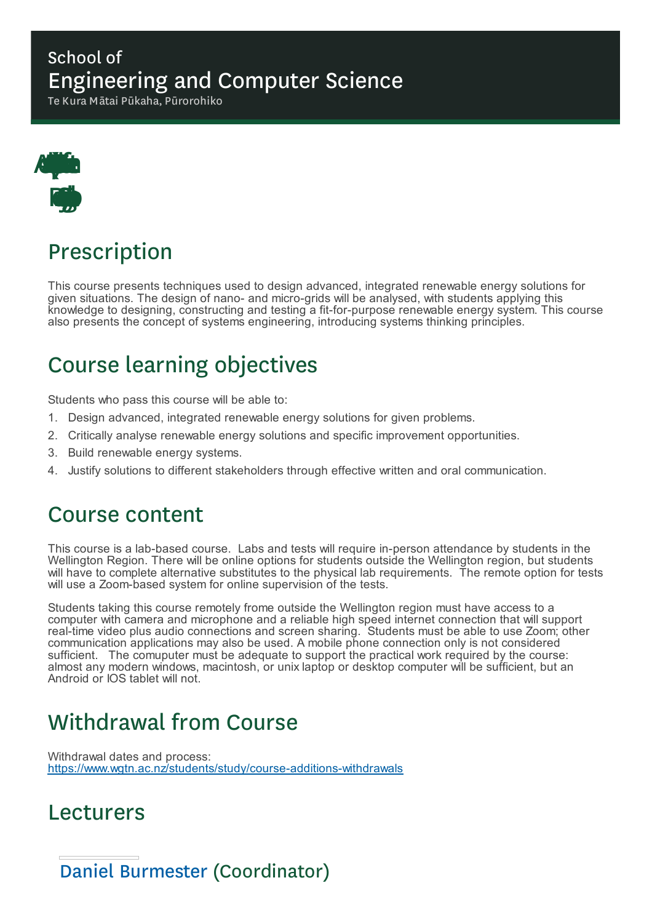### School of Engineering and Computer Science

Te Kura Mātai Pūkaha, Pūrorohiko



# Prescription

This course presents techniques used to design advanced, integrated renewable energy solutions for given situations. The design of nano- and micro-grids will be analysed, with students applying this knowledge to designing, constructing and testing a fit-for-purpose renewable energy system. This course also presents the concept of systems engineering, introducing systems thinking principles.

# Course learning objectives

Students who pass this course will be able to:

- 1. Design advanced, integrated renewable energy solutions for given problems.
- 2. Critically analyse renewable energy solutions and specific improvement opportunities.
- 3. Build renewable energy systems.
- 4. Justify solutions to different stakeholders through effective written and oral communication.

### Course content

This course is a lab-based course. Labs and tests will require in-person attendance by students in the Wellington Region. There will be online options for students outside the Wellington region, but students will have to complete alternative substitutes to the physical lab requirements. The remote option for tests will use a Zoom-based system for online supervision of the tests.

Students taking this course remotely frome outside the Wellington region must have access to a computer with camera and microphone and a reliable high speed internet connection that will support real-time video plus audio connections and screen sharing. Students must be able to use Zoom; other communication applications may also be used. A mobile phone connection only is not considered sufficient. The comuputer must be adequate to support the practical work required by the course: almost any modern windows, macintosh, or unix laptop or desktop computer will be sufficient, but an Android or IOS tablet will not.

## Withdrawal from Course

Withdrawal dates and process: https://www.wgtn.ac.nz/students/study/course-additions-withdrawals

### Lecturers

Daniel Burmester (Coordinator)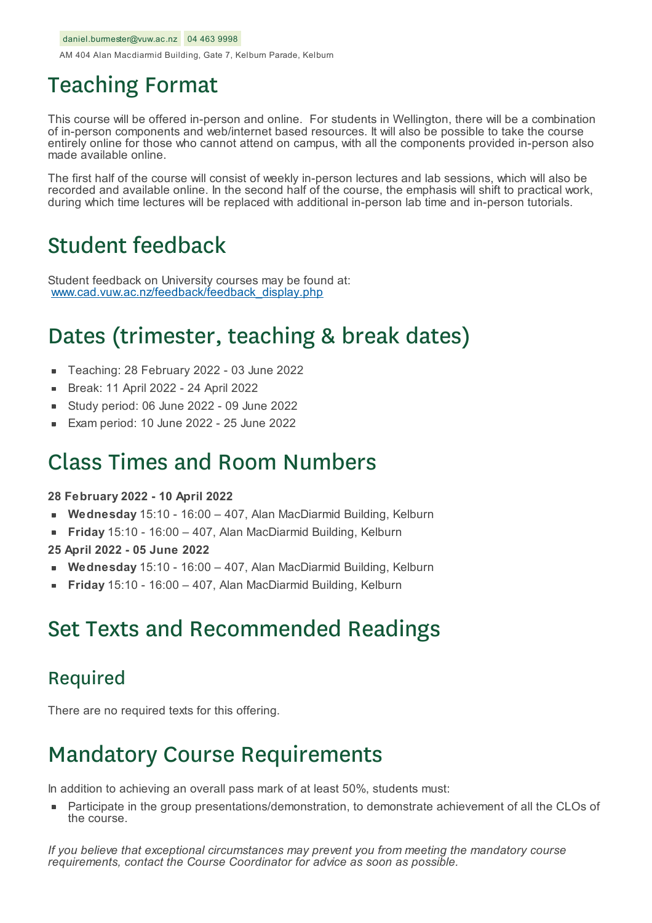AM 404 Alan Macdiarmid Building, Gate 7, Kelburn Parade, Kelburn

### Teaching Format

This course will be offered in-person and online. For students in Wellington, there will be a combination of in-person components and web/internet based resources. It will also be possible to take the course entirely online for those who cannot attend on campus, with all the components provided in-person also made available online.

The first half of the course will consist of weekly in-person lectures and lab sessions, which will also be recorded and available online. In the second half of the course, the emphasis will shift to practical work, during which time lectures will be replaced with additional in-person lab time and in-person tutorials.

### Student feedback

Student feedback on University courses may be found at: www.cad.vuw.ac.nz/feedback/feedback\_display.php

## Dates (trimester, teaching & break dates)

- Teaching: 28 February 2022 03 June 2022  $\blacksquare$
- Break: 11 April 2022 24 April 2022
- Study period: 06 June 2022 09 June 2022
- Exam period: 10 June 2022 25 June 2022

### Class Times and Room Numbers

#### **28 February 2022 - 10 April 2022**

- **Wednesday** 15:10 16:00 407, Alan MacDiarmid Building, Kelburn
- **Friday** 15:10 16:00 407, Alan MacDiarmid Building, Kelburn
- **25 April 2022 - 05 June 2022**
- **Wednesday** 15:10 16:00 407, Alan MacDiarmid Building, Kelburn
- **Friday** 15:10 16:00 407, Alan MacDiarmid Building, Kelburn

### Set Texts and Recommended Readings

#### Required

There are no required texts for this offering.

## Mandatory Course Requirements

In addition to achieving an overall pass mark of at least 50%, students must:

Participate in the group presentations/demonstration, to demonstrate achievement of all the CLOs of the course.

*If you believe that exceptional circumstances may prevent you from meeting the mandatory course requirements, contact the Course Coordinator for advice as soon as possible.*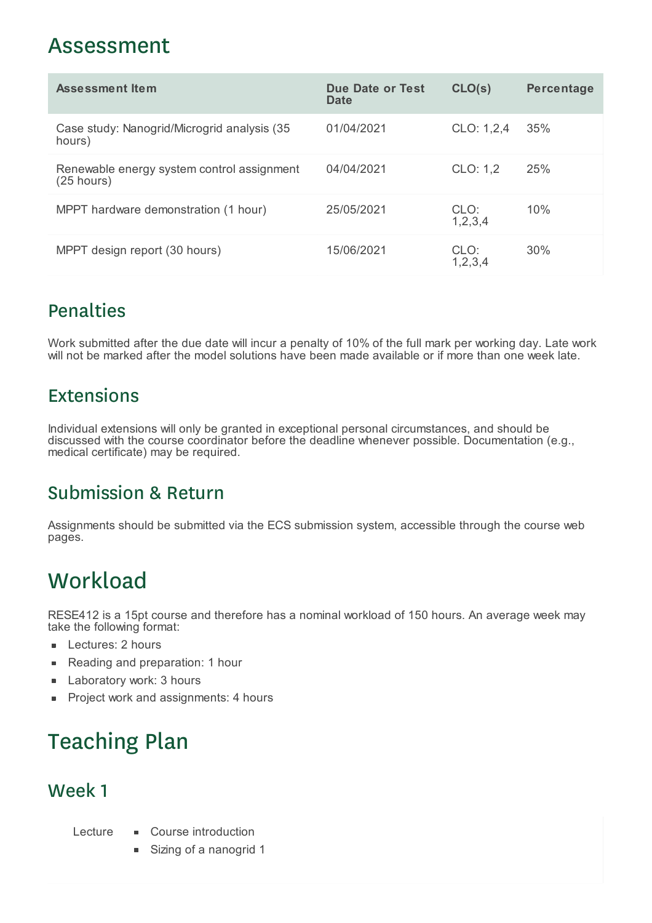### Assessment

| <b>Assessment Item</b>                                     | Due Date or Test<br>Date | CLO(s)          | <b>Percentage</b> |
|------------------------------------------------------------|--------------------------|-----------------|-------------------|
| Case study: Nanogrid/Microgrid analysis (35<br>hours)      | 01/04/2021               | CLO: 1,2,4      | 35%               |
| Renewable energy system control assignment<br>$(25$ hours) | 04/04/2021               | CLO: 1,2        | 25%               |
| MPPT hardware demonstration (1 hour)                       | 25/05/2021               | CLO:<br>1,2,3,4 | 10%               |
| MPPT design report (30 hours)                              | 15/06/2021               | CLO:<br>1,2,3,4 | 30%               |

### Penalties

Work submitted after the due date will incur a penalty of 10% of the full mark per working day. Late work will not be marked after the model solutions have been made available or if more than one week late.

### Extensions

Individual extensions will only be granted in exceptional personal circumstances, and should be discussed with the course coordinator before the deadline whenever possible. Documentation (e.g., medical certificate) may be required.

### Submission & Return

Assignments should be submitted via the ECS submission system, accessible through the course web pages.

# **Workload**

RESE412 is a 15pt course and therefore has a nominal workload of 150 hours. An average week may take the following format:

- **Lectures: 2 hours**
- Reading and preparation: 1 hour  $\blacksquare$
- Laboratory work: 3 hours É
- Project work and assignments: 4 hours  $\blacksquare$

# Teaching Plan

### Week 1

Lecture **Course** introduction

- 
- Sizing of a nanogrid 1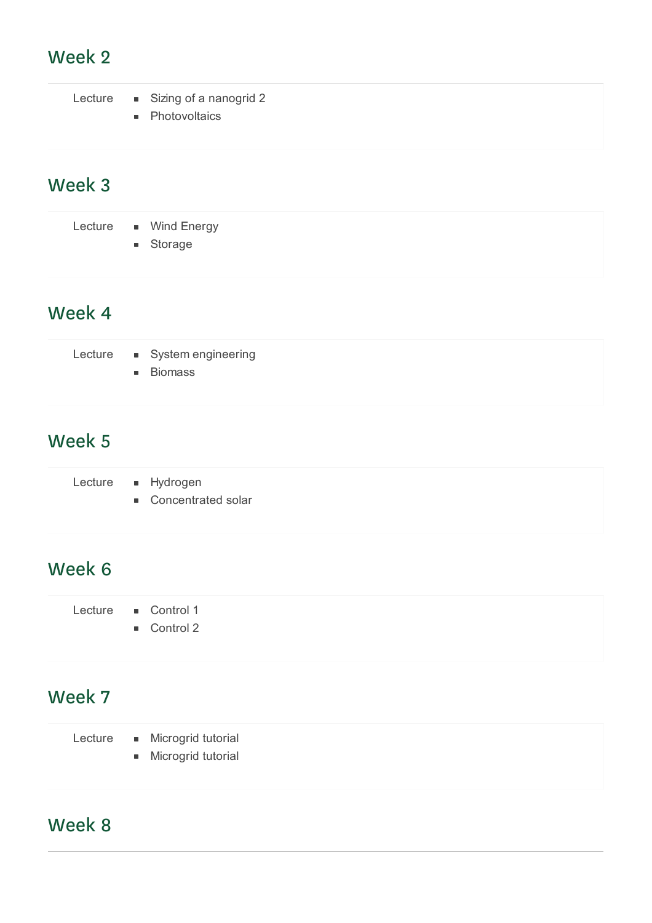### Week 2

|  | Lecture • Sizing of a nanogrid 2<br>• Photovoltaics |
|--|-----------------------------------------------------|
|  |                                                     |

### Week 3

Lecture • Wind Energy

**storage** 

### Week 4

|  | Lecture • System engineering |  |
|--|------------------------------|--|
|  | • Biomass                    |  |

### Week 5

| Lecture | Hydrogen         |
|---------|------------------|
|         | Concontratod col |

■ Concentrated solar

### Week 6

| Lecture | Control 1 |
|---------|-----------|
|         |           |

Control 2

### Week 7

- Lecture Microgrid tutorial
	- **Microgrid tutorial**

### Week 8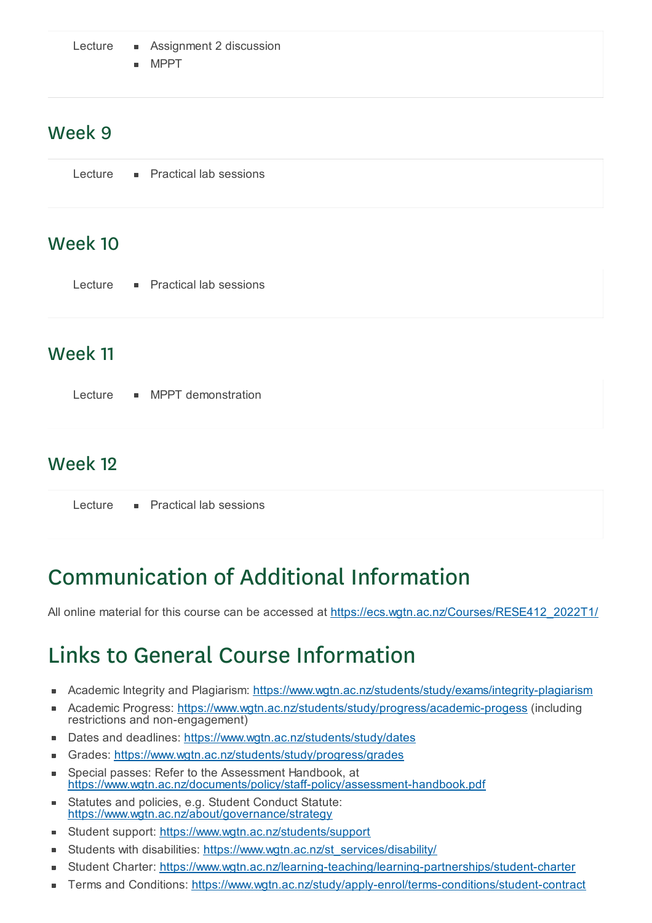Lecture • Assignment 2 discussion

MPPT

#### Week 9

### Week 10

| Lecture |  | <b>Practical lab sessions</b> |
|---------|--|-------------------------------|
|---------|--|-------------------------------|

### Week 11

Lecture MPPT demonstration

### Week 12

Lecture **Practical lab sessions** 

# Communication of Additional Information

All online material for this course can be accessed at https://ecs.wgtn.ac.nz/Courses/RESE412\_2022T1/

# Links to General Course Information

- Academic Integrity and Plagiarism: https://www.wgtn.ac.nz/students/study/exams/integrity-plagiarism r.
- Academic Progress: https://www.wgtn.ac.nz/students/study/progress/academic-progess (including  $\blacksquare$ restrictions and non-engagement)
- Dates and deadlines: https://www.wgtn.ac.nz/students/study/dates
- Grades: https://www.wgtn.ac.nz/students/study/progress/grades  $\blacksquare$
- Special passes: Refer to the Assessment Handbook, at × https://www.wgtn.ac.nz/documents/policy/staff-policy/assessment-handbook.pdf
- Statutes and policies, e.g. Student Conduct Statute: https://www.wgtn.ac.nz/about/governance/strategy
- Student support: https://www.wgtn.ac.nz/students/support  $\blacksquare$
- Students with disabilities: https://www.wgtn.ac.nz/st\_services/disability/  $\blacksquare$
- Student Charter: https://www.wgtn.ac.nz/learning-teaching/learning-partnerships/student-charter
- Terms and Conditions: https://www.wgtn.ac.nz/study/apply-enrol/terms-conditions/student-contract